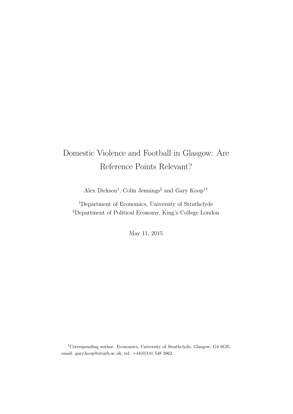# <span id="page-0-0"></span>Domestic Violence and Football in Glasgow: Are Reference Points Relevant?

Alex Dickson† , Colin Jennings§ and Gary Koop<sup>1</sup>†

†Department of Economics, University of Strathclyde  $^\S$ Department of Political Economy, King's College London

May 11, 2015

<sup>1</sup>Corresponding author. Economics, University of Strathclyde, Glasgow, G4 0GE; email: gary.koop@strath.ac.uk; tel: +44(0)141 548 3862.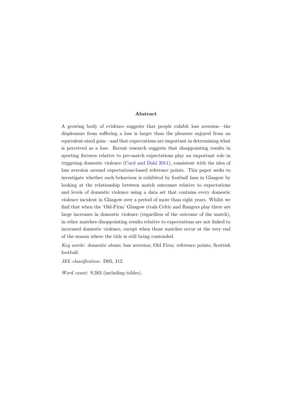#### Abstract

A growing body of evidence suggests that people exhibit loss aversion—the displeasure from suffering a loss is larger than the pleasure enjoyed from an equivalent-sized gain—and that expectations are important in determining what is perceived as a loss. Recent research suggests that disappointing results in sporting fixtures relative to pre-match expectations play an important role in triggering domestic violence [\(Card and Dahl](#page-23-0) [2011\)](#page-23-0), consistent with the idea of loss aversion around expectations-based reference points. This paper seeks to investigate whether such behaviour is exhibited by football fans in Glasgow by looking at the relationship between match outcomes relative to expectations and levels of domestic violence using a data set that contains every domestic violence incident in Glasgow over a period of more than eight years. Whilst we find that when the 'Old-Firm' Glasgow rivals Celtic and Rangers play there are large increases in domestic violence (regardless of the outcome of the match), in other matches disappointing results relative to expectations are not linked to increased domestic violence, except when those matches occur at the very end of the season where the title is still being contended.

Key words: domestic abuse; loss aversion; Old Firm; reference points; Scottish football.

JEL classification: D03; J12.

Word count: 9,383 (including tables).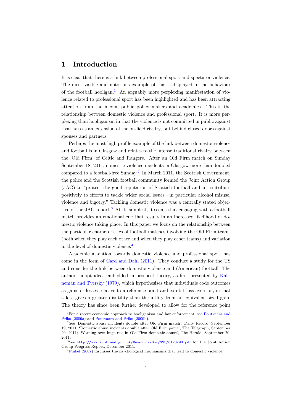## 1 Introduction

It is clear that there is a link between professional sport and spectator violence. The most visible and notorious example of this is displayed in the behaviour of the football hooligan.<sup>[1](#page-0-0)</sup> An arguably more perplexing manifestation of violence related to professional sport has been highlighted and has been attracting attention from the media, public policy makers and academics. This is the relationship between domestic violence and professional sport. It is more perplexing than hooliganism in that the violence is not committed in public against rival fans as an extension of the on-field rivalry, but behind closed doors against spouses and partners.

Perhaps the most high profile example of the link between domestic violence and football is in Glasgow and relates to the intense traditional rivalry between the 'Old Firm' of Celtic and Rangers. After an Old Firm match on Sunday September 18, 2011, domestic violence incidents in Glasgow more than doubled compared to a football-free Sunday.<sup>[2](#page-0-0)</sup> In March 2011, the Scottish Government, the police and the Scottish football community formed the Joint Action Group (JAG) to "protect the good reputation of Scottish football and to contribute positively to efforts to tackle wider social issues—in particular alcohol misuse, violence and bigotry." Tackling domestic violence was a centrally stated objec-tive of the JAG report.<sup>[3](#page-0-0)</sup> At its simplest, it seems that engaging with a football match provides an emotional cue that results in an increased likelihood of domestic violence taking place. In this paper we focus on the relationship between the particular characteristics of football matches involving the Old Firm teams (both when they play each other and when they play other teams) and variation in the level of domestic violence.[4](#page-0-0)

Academic attention towards domestic violence and professional sport has come in the form of [Card and Dahl](#page-23-0) [\(2011\)](#page-23-0). They conduct a study for the US and consider the link between domestic violence and (American) football. The authors adopt ideas embedded in prospect theory, as first presented by [Kah](#page-24-0)[neman and Tversky](#page-24-0) [\(1979\)](#page-24-0), which hypothesises that individuals code outcomes as gains or losses relative to a reference point and exhibit loss aversion, in that a loss gives a greater disutility than the utility from an equivalent-sized gain. The theory has since been further developed to allow for the reference point

 $^1\rm{For}$  a recent economic approach to hooliganism and law enforcement, see [Poutvaara and](#page-24-1) [Priks](#page-24-1) [\(2009a\)](#page-24-1) and [Poutvaara and Priks](#page-24-2) [\(2009b\)](#page-24-2).

<sup>2</sup>See 'Domestic abuse incidents double after Old Firm match', Daily Record, September 19, 2011; 'Domestic abuse incidents double after Old Firm game', The Telegraph, September 20, 2011; 'Warning over huge rise in Old Firm domestic abuse', The Herald, September 20, 2011.

<sup>3</sup>See <http://www.scotland.gov.uk/Resource/Doc/925/0123798.pdf> for the Joint Action Group Progress Report, December 2011.

<sup>4</sup>[Finkel](#page-23-1) [\(2007\)](#page-23-1) discusses the psychological mechanisms that lead to domestic violence.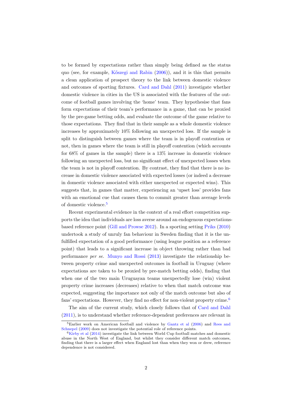to be formed by expectations rather than simply being defined as the status quo (see, for example, [K˝oszegi and Rabin](#page-24-3) [\(2006\)](#page-24-3)), and it is this that permits a clean application of prospect theory to the link between domestic violence and outcomes of sporting fixtures. [Card and Dahl](#page-23-0) [\(2011\)](#page-23-0) investigate whether domestic violence in cities in the US is associated with the features of the outcome of football games involving the 'home' team. They hypothesise that fans form expectations of their team's performance in a game, that can be proxied by the pre-game betting odds, and evaluate the outcome of the game relative to those expectations. They find that in their sample as a whole domestic violence increases by approximately 10% following an unexpected loss. If the sample is split to distinguish between games where the team is in playoff contention or not, then in games where the team is still in playoff contention (which accounts for 68% of games in the sample) there is a 13% increase in domestic violence following an unexpected loss, but no significant effect of unexpected losses when the team is not in playoff contention. By contrast, they find that there is no increase in domestic violence associated with expected losses (or indeed a decrease in domestic violence associated with either unexpected or expected wins). This suggests that, in games that matter, experiencing an 'upset loss' provides fans with an emotional cue that causes them to commit greater than average levels of domestic violence.<sup>[5](#page-0-0)</sup>

Recent experimental evidence in the context of a real effort competition supports the idea that individuals are loss averse around an endogenous expectationsbased reference point [\(Gill and Prowse](#page-24-4) [2012\)](#page-24-4). In a sporting setting [Priks](#page-24-5) [\(2010\)](#page-24-5) undertook a study of unruly fan behaviour in Sweden finding that it is the unfulfilled expectation of a good performance (using league position as a reference point) that leads to a significant increase in object throwing rather than bad performance per se. [Munyo and Rossi](#page-24-6) [\(2013\)](#page-24-6) investigate the relationship between property crime and unexpected outcomes in football in Uruguay (where expectations are taken to be proxied by pre-match betting odds), finding that when one of the two main Uruguayan teams unexpectedly lose (win) violent property crime increases (decreases) relative to when that match outcome was expected, suggesting the importance not only of the match outcome but also of fans' expectations. However, they find no effect for non-violent property crime.<sup>[6](#page-0-0)</sup>

The aim of the current study, which closely follows that of [Card and Dahl](#page-23-0) [\(2011\)](#page-23-0), is to understand whether reference-dependent preferences are relevant in

<sup>5</sup>Earlier work on American football and violence by [Gantz et al](#page-23-2) [\(2006\)](#page-23-2) and [Rees and](#page-24-7) [Schnepel](#page-24-7) [\(2009\)](#page-24-7) does not investigate the potential role of reference points.

 $6$ [Kirby et al](#page-24-8) [\(2014\)](#page-24-8) investigate the link between World Cup football matches and domestic abuse in the North West of England, but whilst they consider different match outcomes, finding that there is a larger effect when England lost than when they won or drew, reference dependence is not considered.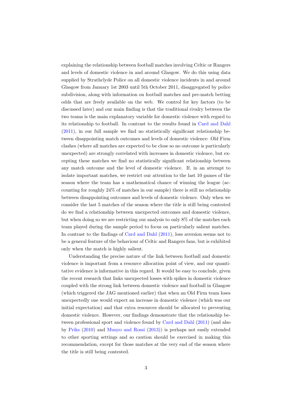explaining the relationship between football matches involving Celtic or Rangers and levels of domestic violence in and around Glasgow. We do this using data supplied by Strathclyde Police on all domestic violence incidents in and around Glasgow from January 1st 2003 until 5th October 2011, disaggregated by police subdivision, along with information on football matches and pre-match betting odds that are freely available on the web. We control for key factors (to be discussed later) and our main finding is that the traditional rivalry between the two teams is the main explanatory variable for domestic violence with regard to its relationship to football. In contrast to the results found in [Card and Dahl](#page-23-0) [\(2011\)](#page-23-0), in our full sample we find no statistically significant relationship between disappointing match outcomes and levels of domestic violence: Old Firm clashes (where all matches are expected to be close so no outcome is particularly unexpected) are strongly correlated with increases in domestic violence, but excepting these matches we find no statistically significant relationship between any match outcome and the level of domestic violence. If, in an attempt to isolate important matches, we restrict our attention to the last 10 games of the season where the team has a mathematical chance of winning the league (accounting for roughly 24% of matches in our sample) there is still no relationship between disappointing outcomes and levels of domestic violence. Only when we consider the last 5 matches of the season where the title is still being contested do we find a relationship between unexpected outcomes and domestic violence, but when doing so we are restricting our analysis to only 8% of the matches each team played during the sample period to focus on particularly salient matches. In contrast to the findings of [Card and Dahl](#page-23-0) [\(2011\)](#page-23-0), loss aversion seems not to be a general feature of the behaviour of Celtic and Rangers fans, but is exhibited only when the match is highly salient.

Understanding the precise nature of the link between football and domestic violence is important from a resource allocation point of view, and our quantitative evidence is informative in this regard. It would be easy to conclude, given the recent research that links unexpected losses with spikes in domestic violence coupled with the strong link between domestic violence and football in Glasgow (which triggered the JAG mentioned earlier) that when an Old Firm team loses unexpectedly one would expect an increase in domestic violence (which was our initial expectation) and that extra resources should be allocated to preventing domestic violence. However, our findings demonstrate that the relationship between professional sport and violence found by [Card and Dahl](#page-23-0) [\(2011\)](#page-23-0) (and also by [Priks](#page-24-5) [\(2010\)](#page-24-5) and [Munyo and Rossi](#page-24-6) [\(2013\)](#page-24-6)) is perhaps not easily extended to other sporting settings and so caution should be exercised in making this recommendation, except for those matches at the very end of the season where the title is still being contested.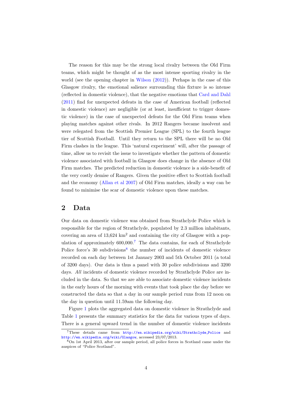The reason for this may be the strong local rivalry between the Old Firm teams, which might be thought of as the most intense sporting rivalry in the world (see the opening chapter in [Wilson](#page-24-9) [\(2012\)](#page-24-9)). Perhaps in the case of this Glasgow rivalry, the emotional salience surrounding this fixture is so intense (reflected in domestic violence), that the negative emotions that [Card and Dahl](#page-23-0) [\(2011\)](#page-23-0) find for unexpected defeats in the case of American football (reflected in domestic violence) are negligible (or at least, insufficient to trigger domestic violence) in the case of unexpected defeats for the Old Firm teams when playing matches against other rivals. In 2012 Rangers became insolvent and were relegated from the Scottish Premier League (SPL) to the fourth league tier of Scottish Football. Until they return to the SPL there will be no Old Firm clashes in the league. This 'natural experiment' will, after the passage of time, allow us to revisit the issue to investigate whether the pattern of domestic violence associated with football in Glasgow does change in the absence of Old Firm matches. The predicted reduction in domestic violence is a side-benefit of the very costly demise of Rangers. Given the positive effect to Scottish football and the economy [\(Allan et al](#page-23-3) [2007\)](#page-23-3) of Old Firm matches, ideally a way can be found to minimise the scar of domestic violence upon these matches.

## 2 Data

Our data on domestic violence was obtained from Strathclyde Police which is responsible for the region of Strathclyde, populated by 2.3 million inhabitants, covering an area of  $13.624 \text{ km}^2$  and containing the city of Glasgow with a population of approximately  $600,000$ .<sup>[7](#page-0-0)</sup> The data contains, for each of Strathclyde Police force's 30 subdivisions<sup>[8](#page-0-0)</sup> the number of incidents of domestic violence recorded on each day between 1st January 2003 and 5th October 2011 (a total of 3200 days). Our data is thus a panel with 30 police subdivisions and 3200 days. All incidents of domestic violence recorded by Strathclyde Police are included in the data. So that we are able to associate domestic violence incidents in the early hours of the morning with events that took place the day before we constructed the data so that a day in our sample period runs from 12 noon on the day in question until 11.59am the following day.

Figure [1](#page-6-0) plots the aggregated data on domestic violence in Strathclyde and Table [1](#page-7-0) presents the summary statistics for the data for various types of days. There is a general upward trend in the number of domestic violence incidents

<sup>7</sup>These details came from [http://en.wikipedia.org/wiki/Strathclyde](http://en.wikipedia.org/wiki/Strathclyde_Police) Police and <http://en.wikipedia.org/wiki/Glasgow>, accessed 23/07/2013.

 $8$ On 1st April 2013, after our sample period, all police forces in Scotland came under the auspices of "Police Scotland".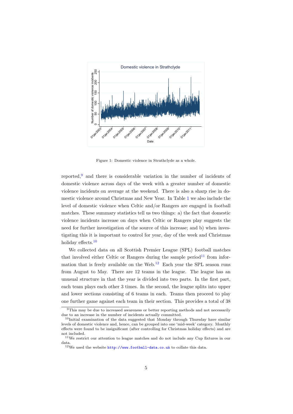<span id="page-6-0"></span>

Figure 1: Domestic violence in Strathclyde as a whole.

reported,  $9$  and there is considerable variation in the number of incidents of domestic violence across days of the week with a greater number of domestic violence incidents on average at the weekend. There is also a sharp rise in domestic violence around Christmas and New Year. In Table [1](#page-7-0) we also include the level of domestic violence when Celtic and/or Rangers are engaged in football matches. These summary statistics tell us two things: a) the fact that domestic violence incidents increase on days when Celtic or Rangers play suggests the need for further investigation of the source of this increase; and b) when investigating this it is important to control for year, day of the week and Christmas holiday effects.<sup>[10](#page-0-0)</sup>

We collected data on all Scottish Premier League (SPL) football matches that involved either Celtic or Rangers during the sample period<sup>[11](#page-0-0)</sup> from infor-mation that is freely available on the Web.<sup>[12](#page-0-0)</sup> Each year the SPL season runs from August to May. There are 12 teams in the league. The league has an unusual structure in that the year is divided into two parts. In the first part, each team plays each other 3 times. In the second, the league splits into upper and lower sections consisting of 6 teams in each. Teams then proceed to play one further game against each team in their section. This provides a total of 38

<sup>&</sup>lt;sup>9</sup>This may be due to increased awareness or better reporting methods and not necessarily due to an increase in the number of incidents actually committed.

 $10$ Initial examination of the data suggested that Monday through Thursday have similar levels of domestic violence and, hence, can be grouped into one 'mid-week' category. Monthly effects were found to be insignificant (after controlling for Christmas holiday effects) and are not included.

<sup>11</sup>We restrict our attention to league matches and do not include any Cup fixtures in our data.

 $12$ We used the website <http://www.football-data.co.uk> to collate this data.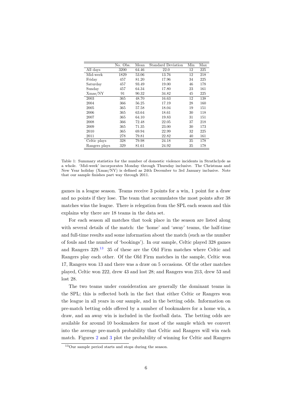<span id="page-7-0"></span>

|               | No. Obs. | Mean  | <b>Standard Deviation</b> | Min | $\overline{\text{Max}}$ |
|---------------|----------|-------|---------------------------|-----|-------------------------|
| All days      | 3200     | 64.46 | 22.0                      | 12  | 225                     |
| Mid-week      | 1829     | 53.06 | 13.76                     | 12  | 218                     |
| Friday        | 457      | 81.20 | 17.96                     | 34  | 225                     |
| Saturday      | 457      | 93.49 | 19.00                     | 46  | 178                     |
| Sunday        | 457      | 64.34 | 17.80                     | 23  | 161                     |
| $X$ mas/NY    | 91       | 90.32 | 34.82                     | 45  | 225                     |
| 2003          | 365      | 48.70 | 16.63                     | 12  | 138                     |
| 2004          | 366      | 56.25 | 17.19                     | 28  | 160                     |
| 2005          | 365      | 57.58 | 18.04                     | 19  | 151                     |
| 2006          | 365      | 63.64 | 18.61                     | 30  | 118                     |
| 2007          | 365      | 64.10 | 19.83                     | 31  | 151                     |
| 2008          | 366      | 72.48 | 22.05                     | 37  | 218                     |
| 2009          | 365      | 71.35 | 23.00                     | 30  | 173                     |
| 2010          | 365      | 69.94 | 22.99                     | 32  | 225                     |
| 2011          | 278      | 79.81 | 22.82                     | 40  | 161                     |
| Celtic plays  | 328      | 79.98 | 24.18                     | 35  | 178                     |
| Rangers plays | 329      | 81.61 | 24.92                     | 35  | 178                     |

Table 1: Summary statistics for the number of domestic violence incidents in Strathclyde as a whole. 'Mid-week' incorporates Monday through Thursday inclusive. The Christmas and New Year holiday (Xmas/NY) is defined as 24th December to 3rd January inclusive. Note that our sample finishes part way through 2011.

games in a league season. Teams receive 3 points for a win, 1 point for a draw and no points if they lose. The team that accumulates the most points after 38 matches wins the league. There is relegation from the SPL each season and this explains why there are 18 teams in the data set.

For each season all matches that took place in the season are listed along with several details of the match: the 'home' and 'away' teams, the half-time and full-time results and some information about the match (such as the number of fouls and the number of 'bookings'). In our sample, Celtic played 328 games and Rangers 329.[13](#page-0-0) 35 of these are the Old Firm matches where Celtic and Rangers play each other. Of the Old Firm matches in the sample, Celtic won 17, Rangers won 13 and there was a draw on 5 occasions. Of the other matches played, Celtic won 222, drew 43 and lost 28; and Rangers won 213, drew 53 and lost 28.

The two teams under consideration are generally the dominant teams in the SPL; this is reflected both in the fact that either Celtic or Rangers won the league in all years in our sample, and in the betting odds. Information on pre-match betting odds offered by a number of bookmakers for a home win, a draw, and an away win is included in the football data. The betting odds are available for around 10 bookmakers for most of the sample which we convert into the average pre-match probability that Celtic and Rangers will win each match. Figures [2](#page-8-0) and [3](#page-9-0) plot the probability of winning for Celtic and Rangers

<sup>13</sup>Our sample period starts and stops during the season.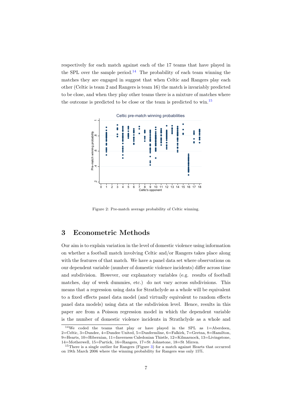respectively for each match against each of the 17 teams that have played in the SPL over the sample period.<sup>[14](#page-0-0)</sup> The probability of each team winning the matches they are engaged in suggest that when Celtic and Rangers play each other (Celtic is team 2 and Rangers is team 16) the match is invariably predicted to be close, and when they play other teams there is a mixture of matches where the outcome is predicted to be close or the team is predicted to win.<sup>[15](#page-0-0)</sup>

<span id="page-8-0"></span>

Figure 2: Pre-match average probability of Celtic winning.

### 3 Econometric Methods

Our aim is to explain variation in the level of domestic violence using information on whether a football match involving Celtic and/or Rangers takes place along with the features of that match. We have a panel data set where observations on our dependent variable (number of domestic violence incidents) differ across time and subdivision. However, our explanatory variables (e.g. results of football matches, day of week dummies, etc.) do not vary across subdivisions. This means that a regression using data for Strathclyde as a whole will be equivalent to a fixed effects panel data model (and virtually equivalent to random effects panel data models) using data at the subdivision level. Hence, results in this paper are from a Poisson regression model in which the dependent variable is the number of domestic violence incidents in Strathclyde as a whole and

<sup>&</sup>lt;sup>14</sup>We coded the teams that play or have played in the SPL as 1=Aberdeen, 2=Celtic, 3=Dundee, 4=Dundee United, 5=Dunfermline, 6=Falkirk, 7=Gretna, 8=Hamilton, 9=Hearts, 10=Hibernian, 11=Inverness Caledonian Thistle, 12=Kilmarnock, 13=Livingstone, 14=Motherwell, 15=Partick, 16=Rangers, 17=St Johnstone, 18=St Mirren.

<sup>&</sup>lt;sup>15</sup>There is a single outlier for Rangers (Figure [3\)](#page-9-0) for a match against Hearts that occurred on 19th March 2006 where the winning probability for Rangers was only 15%.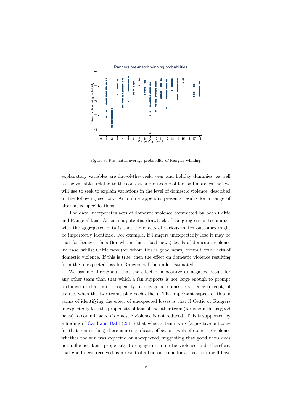<span id="page-9-0"></span>

Figure 3: Pre-match average probability of Rangers winning.

explanatory variables are day-of-the-week, year and holiday dummies, as well as the variables related to the context and outcome of football matches that we will use to seek to explain variations in the level of domestic violence, described in the following section. An online appendix presents results for a range of alternative specifications.

The data incorporates acts of domestic violence committed by both Celtic and Rangers' fans. As such, a potential drawback of using regression techniques with the aggregated data is that the effects of various match outcomes might be imperfectly identified. For example, if Rangers unexpectedly lose it may be that for Rangers fans (for whom this is bad news) levels of domestic violence increase, whilst Celtic fans (for whom this is good news) commit fewer acts of domestic violence. If this is true, then the effect on domestic violence resulting from the unexpected loss for Rangers will be under-estimated.

We assume throughout that the effect of a positive or negative result for any other team than that which a fan supports is not large enough to prompt a change in that fan's propensity to engage in domestic violence (except, of course, when the two teams play each other). The important aspect of this in terms of identifying the effect of unexpected losses is that if Celtic or Rangers unexpectedly lose the propensity of fans of the other team (for whom this is good news) to commit acts of domestic violence is not reduced. This is supported by a finding of [Card and Dahl](#page-23-0) [\(2011\)](#page-23-0) that when a team wins (a positive outcome for that team's fans) there is no significant effect on levels of domestic violence whether the win was expected or unexpected, suggesting that good news does not influence fans' propensity to engage in domestic violence and, therefore, that good news received as a result of a bad outcome for a rival team will have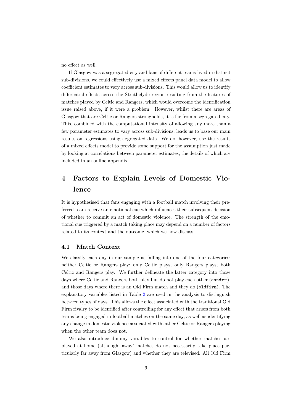no effect as well.

If Glasgow was a segregated city and fans of different teams lived in distinct sub-divisions, we could effectively use a mixed effects panel data model to allow coefficient estimates to vary across sub-divisions. This would allow us to identify differential effects across the Strathclyde region resulting from the features of matches played by Celtic and Rangers, which would overcome the identification issue raised above, if it were a problem. However, whilst there are areas of Glasgow that are Celtic or Rangers strongholds, it is far from a segregated city. This, combined with the computational intensity of allowing any more than a few parameter estimates to vary across sub-divisions, leads us to base our main results on regressions using aggregated data. We do, however, use the results of a mixed effects model to provide some support for the assumption just made by looking at correlations between parameter estimates, the details of which are included in an online appendix.

## <span id="page-10-0"></span>4 Factors to Explain Levels of Domestic Violence

It is hypothesised that fans engaging with a football match involving their preferred team receive an emotional cue which influences their subsequent decision of whether to commit an act of domestic violence. The strength of the emotional cue triggered by a match taking place may depend on a number of factors related to its context and the outcome, which we now discuss.

#### 4.1 Match Context

We classify each day in our sample as falling into one of the four categories: neither Celtic or Rangers play; only Celtic plays; only Rangers plays; both Celtic and Rangers play. We further delineate the latter category into those days where Celtic and Rangers both play but do not play each other (candr $\neg$ ), and those days where there is an Old Firm match and they do (oldfirm). The explanatory variables listed in Table [2](#page-11-0) are used in the analysis to distinguish between types of days. This allows the effect associated with the traditional Old Firm rivalry to be identified after controlling for any effect that arises from both teams being engaged in football matches on the same day, as well as identifying any change in domestic violence associated with either Celtic or Rangers playing when the other team does not.

We also introduce dummy variables to control for whether matches are played at home (although 'away' matches do not necessarily take place particularly far away from Glasgow) and whether they are televised. All Old Firm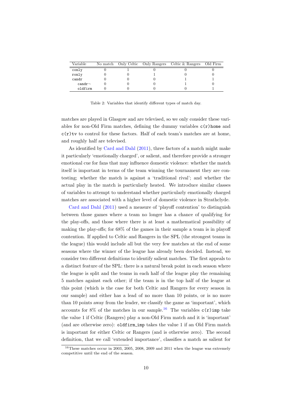<span id="page-11-0"></span>

| Variable |  | No match Only Celtic Only Rangers Celtic & Rangers Old Firm |  |
|----------|--|-------------------------------------------------------------|--|
| conly    |  |                                                             |  |
| ronly    |  |                                                             |  |
| candr    |  |                                                             |  |
| $candr-$ |  |                                                             |  |
| oldfirm  |  |                                                             |  |

Table 2: Variables that identify different types of match day.

matches are played in Glasgow and are televised, so we only consider these variables for non-Old Firm matches, defining the dummy variables  $c(r)$  home and  $c(r)$ tv to control for these factors. Half of each team's matches are at home, and roughly half are televised.

As identified by [Card and Dahl](#page-23-0) [\(2011\)](#page-23-0), three factors of a match might make it particularly 'emotionally charged', or salient, and therefore provide a stronger emotional cue for fans that may influence domestic violence: whether the match itself is important in terms of the team winning the tournament they are contesting; whether the match is against a 'traditional rival'; and whether the actual play in the match is particularly heated. We introduce similar classes of variables to attempt to understand whether particularly emotionally charged matches are associated with a higher level of domestic violence in Strathclyde.

[Card and Dahl](#page-23-0) [\(2011\)](#page-23-0) used a measure of 'playoff contention' to distinguish between those games where a team no longer has a chance of qualifying for the play-offs, and those where there is at least a mathematical possibility of making the play-offs; for 68% of the games in their sample a team is in playoff contention. If applied to Celtic and Rangers in the SPL (the strongest teams in the league) this would include all but the very few matches at the end of some seasons where the winner of the league has already been decided. Instead, we consider two different definitions to identify salient matches. The first appeals to a distinct feature of the SPL: there is a natural break point in each season where the league is split and the teams in each half of the league play the remaining 5 matches against each other; if the team is in the top half of the league at this point (which is the case for both Celtic and Rangers for every season in our sample) and either has a lead of no more than 10 points, or is no more than 10 points away from the leader, we classify the game as 'important', which accounts for 8% of the matches in our sample.<sup>[16](#page-0-0)</sup> The variables  $c(r)$  imp take the value 1 if Celtic (Rangers) play a non-Old Firm match and it is 'important' (and are otherwise zero): oldfirm imp takes the value 1 if an Old Firm match is important for either Celtic or Rangers (and is otherwise zero). The second definition, that we call 'extended importance', classifies a match as salient for

<sup>16</sup>These matches occur in 2003, 2005, 2008, 2009 and 2011 when the league was extremely competitive until the end of the season.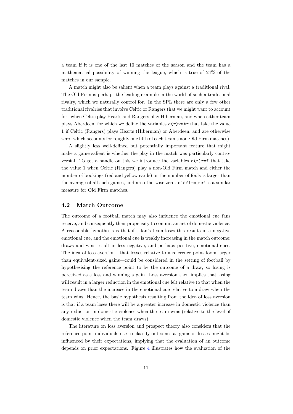a team if it is one of the last 10 matches of the season and the team has a mathematical possibility of winning the league, which is true of 24% of the matches in our sample.

A match might also be salient when a team plays against a traditional rival. The Old Firm is perhaps the leading example in the world of such a traditional rivalry, which we naturally control for. In the SPL there are only a few other traditional rivalries that involve Celtic or Rangers that we might want to account for: when Celtic play Hearts and Rangers play Hibernian, and when either team plays Aberdeen, for which we define the variables  $c(r)$  vstr that take the value 1 if Celtic (Rangers) plays Hearts (Hibernian) or Aberdeen, and are otherwise zero (which accounts for roughly one fifth of each team's non-Old Firm matches).

A slightly less well-defined but potentially important feature that might make a game salient is whether the play in the match was particularly controversial. To get a handle on this we introduce the variables  $c(r)$ ref that take the value 1 when Celtic (Rangers) play a non-Old Firm match and either the number of bookings (red and yellow cards) or the number of fouls is larger than the average of all such games, and are otherwise zero. oldfirm ref is a similar measure for Old Firm matches.

#### 4.2 Match Outcome

The outcome of a football match may also influence the emotional cue fans receive, and consequently their propensity to commit an act of domestic violence. A reasonable hypothesis is that if a fan's team loses this results in a negative emotional cue, and the emotional cue is weakly increasing in the match outcome: draws and wins result in less negative, and perhaps positive, emotional cues. The idea of loss aversion—that losses relative to a reference point loom larger than equivalent-sized gains—could be considered in the setting of football by hypothesising the reference point to be the outcome of a draw, so losing is perceived as a loss and winning a gain. Loss aversion then implies that losing will result in a larger reduction in the emotional cue felt relative to that when the team draws than the increase in the emotional cue relative to a draw when the team wins. Hence, the basic hypothesis resulting from the idea of loss aversion is that if a team loses there will be a greater increase in domestic violence than any reduction in domestic violence when the team wins (relative to the level of domestic violence when the team draws).

The literature on loss aversion and prospect theory also considers that the reference point individuals use to classify outcomes as gains or losses might be influenced by their expectations, implying that the evaluation of an outcome depends on prior expectations. Figure [4](#page-13-0) illustrates how the evaluation of the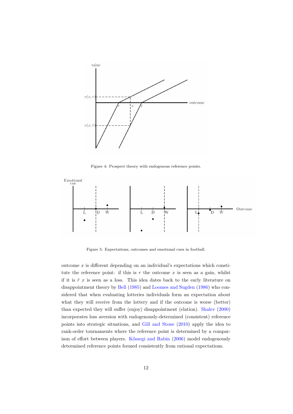<span id="page-13-0"></span>

Figure 4: Prospect theory with endogenous reference points.

<span id="page-13-1"></span>

Figure 5: Expectations, outcomes and emotional cues in football.

outcome  $x$  is different depending on an individual's expectations which constitute the reference point: if this is  $r$  the outcome  $x$  is seen as a gain, whilst if it is  $\tilde{r}$  x is seen as a loss. This idea dates back to the early literature on disappointment theory by [Bell](#page-23-4) [\(1985\)](#page-23-4) and [Loomes and Sugden](#page-24-10) [\(1986\)](#page-24-10) who considered that when evaluating lotteries individuals form an expectation about what they will receive from the lottery and if the outcome is worse (better) than expected they will suffer (enjoy) disappointment (elation). [Shalev](#page-24-11) [\(2000\)](#page-24-11) incorporates loss aversion with endogenously-determined (consistent) reference points into strategic situations, and [Gill and Stone](#page-24-12) [\(2010\)](#page-24-12) apply the idea to rank-order tournaments where the reference point is determined by a comparison of effort between players. [K˝oszegi and Rabin](#page-24-3) [\(2006\)](#page-24-3) model endogenously determined reference points formed consistently from rational expectations.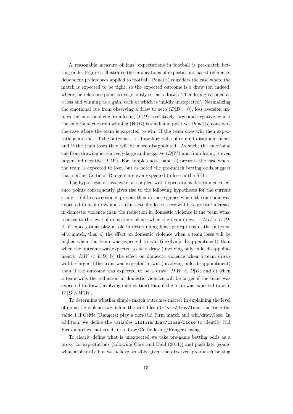A reasonable measure of fans' expectations in football is pre-match betting odds. Figure [5](#page-13-1) illustrates the implications of expectations-based referencedependent preferences applied to football. Panel a) considers the case where the match is expected to be tight, so the expected outcome is a draw (or, indeed, where the reference point is exogenously set as a draw). Then losing is coded as a loss and winning as a gain, each of which is 'mildly unexpected'. Normalizing the emotional cue from observing a draw to zero  $(D|D = 0)$ , loss aversion implies the emotional cue from losing  $(L|D)$  is relatively large and negative, whilst the emotional cue from winning  $(W|D)$  is small and positive. Panel b) considers the case where the team is expected to win. If the team does win then expectations are met; if the outcome is a draw fans will suffer mild disappointment; and if the team loses they will be more disappointed. As such, the emotional cue from drawing is relatively large and negative  $(D|W)$  and from losing is even larger and negative  $(L|W)$ . For completeness, panel c) presents the case where the team is expected to lose, but as noted the pre-match betting odds suggest that neither Celtic or Rangers are ever expected to lose in the SPL.

The hypothesis of loss aversion coupled with expectations-determined reference points consequently gives rise to the following hypotheses for the current study: 1) if loss aversion is present then in those games where the outcome was expected to be a draw and a team actually loses there will be a greater increase in domestic violence than the reduction in domestic violence if the team wins, relative to the level of domestic violence when the team draws:  $-L|D \rangle W|D$ ; 2) if expectations play a role in determining fans' perceptions of the outcome of a match, then a) the effect on domestic violence when a team loses will be higher when the team was expected to win (involving disappointment) than when the outcome was expected to be a draw (involving only mild disappointment):  $L|W \nvert L|D$ ; b) the effect on domestic violence when a team draws will be larger if the team was expected to win (involving mild disappointment) than if the outcome was expected to be a draw:  $D|W < D|D$ ; and c) when a team wins the reduction in domestic violence will be larger if the team was expected to draw (involving mild elation) than if the team was expected to win:  $W|D > W|W$ .

To determine whether simple match outcomes matter in explaining the level of domestic violence we define the variables  $c(r)$ win/draw/lose that take the value 1 if Celtic (Rangers) play a non-Old Firm match and win/draw/lose. In addition, we define the variables oldfirm draw/close/rlose to identify Old Firm matches that result in a draw/Celtic losing/Rangers losing.

To clearly define what is unexpected we take pre-game betting odds as a proxy for expectations (following [Card and Dahl](#page-23-0) [\(2011\)](#page-23-0)) and postulate (somewhat arbitrarily but we believe sensibly given the observed pre-match betting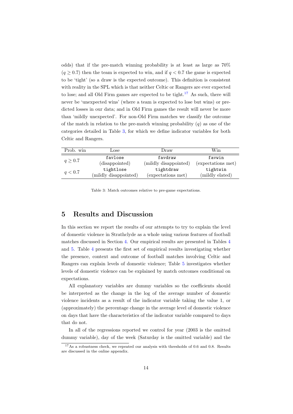odds) that if the pre-match winning probability is at least as large as 70%  $(q \geq 0.7)$  then the team is expected to win, and if  $q < 0.7$  the game is expected to be 'tight' (so a draw is the expected outcome). This definition is consistent with reality in the SPL which is that neither Celtic or Rangers are ever expected to lose; and all Old Firm games are expected to be tight.<sup>[17](#page-0-0)</sup> As such, there will never be 'unexpected wins' (where a team is expected to lose but wins) or predicted losses in our data; and in Old Firm games the result will never be more than 'mildly unexpected'. For non-Old Firm matches we classify the outcome of the match in relation to the pre-match winning probability  $(q)$  as one of the categories detailed in Table [3,](#page-15-0) for which we define indicator variables for both Celtic and Rangers.

<span id="page-15-0"></span>

| Prob. win | Lose                  | Draw                  | Win                |
|-----------|-----------------------|-----------------------|--------------------|
|           | favlose               | favdraw               | favwin             |
| q > 0.7   | (disappointed)        | (mildly disappointed) | (expectations met) |
| q < 0.7   | tightlose             | tightdraw             | tightwin           |
|           | (mildly disappointed) | (expectations met)    | (mildly elated)    |

Table 3: Match outcomes relative to pre-game expectations.

## 5 Results and Discussion

In this section we report the results of our attempts to try to explain the level of domestic violence in Strathclyde as a whole using various features of football matches discussed in Section [4.](#page-10-0) Our empirical results are presented in Tables [4](#page-17-0) and [5.](#page-19-0) Table [4](#page-17-0) presents the first set of empirical results investigating whether the presence, context and outcome of football matches involving Celtic and Rangers can explain levels of domestic violence; Table [5](#page-19-0) investigates whether levels of domestic violence can be explained by match outcomes conditional on expectations.

All explanatory variables are dummy variables so the coefficients should be interpreted as the change in the log of the average number of domestic violence incidents as a result of the indicator variable taking the value 1, or (approximately) the percentage change in the average level of domestic violence on days that have the characteristics of the indicator variable compared to days that do not.

In all of the regressions reported we control for year (2003 is the omitted dummy variable), day of the week (Saturday is the omitted variable) and the

<sup>&</sup>lt;sup>17</sup>As a robustness check, we repeated our analysis with thresholds of 0.6 and 0.8. Results are discussed in the online appendix.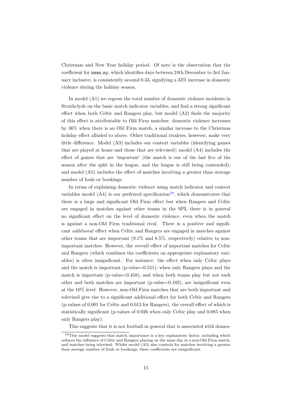Christmas and New Year holiday period. Of note is the observation that the coefficient for xmas\_ny, which identifies days between 24th December to 3rd January inclusive, is consistently around 0.33, signifying a 33% increase in domestic violence during the holiday season.

In model (A1) we regress the total number of domestic violence incidents in Strathclyde on the basic match indicator variables, and find a strong significant effect when both Celtic and Rangers play, but model (A2) finds the majority of this effect is attributable to Old Firm matches: domestic violence increases by 36% when there is an Old Firm match, a similar increase to the Christmas holiday effect alluded to above. Other traditional rivalries, however, make very little difference. Model (A3) includes our context variables (identifying games that are played at home and those that are televised); model (A4) includes the effect of games that are 'important' (the match is one of the last five of the season after the split in the league, and the league is still being contended); and model (A5) includes the effect of matches involving a greater than average number of fouls or bookings.

In terms of explaining domestic violence using match indicator and context variables model  $(A4)$  is our preferred specification<sup>[18](#page-0-0)</sup>, which demonstrates that there is a large and significant Old Firm effect but when Rangers and Celtic are engaged in matches against other teams in the SPL there is in general no significant effect on the level of domestic violence, even when the match is against a non-Old Firm traditional rival. There is a positive and significant additional effect when Celtic and Rangers are engaged in matches against other teams that are important (9.1% and 8.5%, respectively) relative to nonimportant matches. However, the overall effect of important matches for Celtic and Rangers (which combines the coefficients on appropriate explanatory variables) is often insignificant. For instance: the effect when only Celtic plays and the match is important ( $p$ -value=0.551); when only Rangers plays and the match is important (p-value=0.458); and when both teams play but not each other and both matches are important  $(p-value=0.102)$ , are insignificant even at the 10% level. However, non-Old Firm matches that are both important and televised give rise to a significant additional effect for both Celtic and Rangers (p-values of 0.001 for Celtic and 0.013 for Rangers), the overall effect of which is statistically significant (p-values of 0.026 when only Celtic play and 0.085 when only Rangers play).

This suggests that it is not football in general that is associated with domes-

<sup>&</sup>lt;sup>18</sup>This model suggests that match importance is a key explanatory factor, including which reduces the influence of Celtic and Rangers playing on the same day in a non-Old Firm match, and matches being televised. Whilst model (A5) also controls for matches involving a greater than average number of fouls or bookings, these coefficients are insignificant.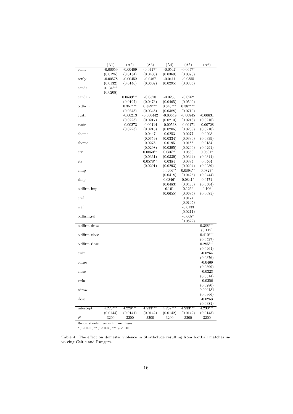<span id="page-17-0"></span>

|               | (A1)       | (A2)        | (A3)                   | (A4)               | (A5)               | (A6)                  |
|---------------|------------|-------------|------------------------|--------------------|--------------------|-----------------------|
| conly         | $-0.00659$ | $-0.00409$  | $-0.0717*$             | $-0.0547$          | $-0.0657*$         |                       |
|               | (0.0125)   | (0.0134)    | (0.0408)               | (0.0369)           | (0.0378)           |                       |
| ronly         | $-0.00578$ | $-0.00452$  | $-0.0467$              | $-0.0411$          | $-0.0355$          |                       |
|               | (0.0132)   | (0.0146)    | (0.0302)               | (0.0295)           | (0.0305)           |                       |
| candr         | $0.134***$ |             |                        |                    |                    |                       |
|               | (0.0208)   |             |                        |                    |                    |                       |
| $candr\neg$   |            | $0.0539***$ | $-0.0578$              | $-0.0255$          | $-0.0262$          |                       |
|               |            | (0.0197)    | (0.0473)               | (0.0465)           | (0.0502)           |                       |
| oldfirm       |            | $0.357***$  | $0.359***$             | $0.343***$         | $0.387***$         |                       |
|               |            | (0.0343)    | (0.0348)               | (0.0388)           | (0.0710)           |                       |
| cvstr         |            | $-0.00213$  | $-0.000442$            | $-0.00549$         | $-0.00845$         | $-0.00631$            |
|               |            | (0.0223)    | (0.0217)               | (0.0210)           | (0.0213)           | (0.0216)              |
| rvstr         |            | $-0.00273$  | $-0.00414$             | $-0.00568$         | $-0.00471$         | $-0.00728$            |
|               |            | (0.0223)    | (0.0216)               | (0.0206)           | (0.0209)           | (0.0210)              |
| chome         |            |             | 0.0447                 | 0.0253             | 0.0277             | 0.0208                |
|               |            |             | (0.0359)               | (0.0334)           | (0.0336)           | (0.0339)              |
| rhome         |            |             | 0.0278                 | 0.0195             | 0.0188             | 0.0184                |
|               |            |             | (0.0298)<br>$0.0850**$ | (0.0295)           | (0.0296)           | (0.0291)              |
| ctv           |            |             |                        | $0.0567*$          | 0.0560             | $0.0591*$<br>(0.0344) |
|               |            |             | (0.0361)<br>$0.0578**$ | (0.0339)           | (0.0344)<br>0.0384 |                       |
| rtv           |            |             | (0.0291)               | 0.0384<br>(0.0293) | (0.0294)           | 0.0464<br>(0.0289)    |
| cimp          |            |             |                        | $0.0906**$         | $0.0894**$         | $0.0823*$             |
|               |            |             |                        | (0.0418)           | (0.0425)           | (0.0444)              |
| rimp          |            |             |                        | $0.0846*$          | $0.0841*$          | 0.0771                |
|               |            |             |                        | (0.0483)           | (0.0486)           | (0.0504)              |
| oldfirm_imp   |            |             |                        | 0.101              | $0.126*$           | 0.106                 |
|               |            |             |                        | (0.0655)           | (0.0685)           | (0.0685)              |
| cref          |            |             |                        |                    | 0.0174             |                       |
|               |            |             |                        |                    | (0.0195)           |                       |
| rref          |            |             |                        |                    | $-0.0133$          |                       |
|               |            |             |                        |                    | (0.0211)           |                       |
| oldfirm_ref   |            |             |                        |                    | $-0.0687$          |                       |
|               |            |             |                        |                    | (0.0822)           |                       |
| oldfirm_draw  |            |             |                        |                    |                    | $0.388***$            |
|               |            |             |                        |                    |                    | (0.112)               |
| oldfirm_close |            |             |                        |                    |                    | $0.410***$            |
|               |            |             |                        |                    |                    | (0.0537)              |
| oldfirm_rlose |            |             |                        |                    |                    | $0.285***$            |
|               |            |             |                        |                    |                    | (0.0464)              |
| cwin          |            |             |                        |                    |                    | $-0.0254$             |
|               |            |             |                        |                    |                    | (0.0376)              |
| cdraw         |            |             |                        |                    |                    | $-0.0469$             |
|               |            |             |                        |                    |                    | (0.0399)              |
| close         |            |             |                        |                    |                    | $-0.0323$<br>(0.0514) |
|               |            |             |                        |                    |                    |                       |
| rwin          |            |             |                        |                    |                    | $-0.0256$<br>(0.0280) |
| rdraw         |            |             |                        |                    |                    | 0.000181              |
|               |            |             |                        |                    |                    | (0.0366)              |
| rlose         |            |             |                        |                    |                    | $-0.0253$             |
|               |            |             |                        |                    |                    | (0.0381)              |
| intercept     | $4.223***$ | $4.229***$  | $4.233***$             | $4.232***$         | $4.233***$         | $4.230***$            |
|               | (0.0144)   | (0.0141)    | (0.0142)               | (0.0142)           | (0.0142)           | (0.0143)              |
| $\cal N$      | 3200       | 3200        | 3200                   | 3200               | 3200               | 3200                  |
|               |            |             |                        |                    |                    |                       |

Robust standard errors in parentheses

 $*$  p < 0.10,  $*$  p < 0.05,  $**$  p < 0.01

Table 4: The effect on domestic violence in Strathclyde resulting from football matches involving Celtic and Rangers.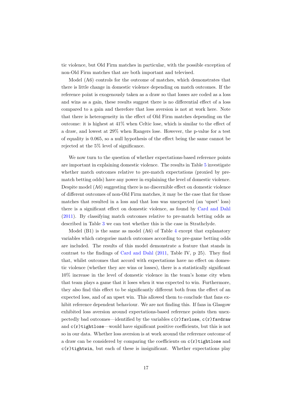tic violence, but Old Firm matches in particular, with the possible exception of non-Old Firm matches that are both important and televised.

Model (A6) controls for the outcome of matches, which demonstrates that there is little change in domestic violence depending on match outcomes. If the reference point is exogenously taken as a draw so that losses are coded as a loss and wins as a gain, these results suggest there is no differential effect of a loss compared to a gain and therefore that loss aversion is not at work here. Note that there is heterogeneity in the effect of Old Firm matches depending on the outcome: it is highest at 41% when Celtic lose, which is similar to the effect of a draw, and lowest at 29% when Rangers lose. However, the p-value for a test of equality is 0.065, so a null hypothesis of the effect being the same cannot be rejected at the 5% level of significance.

We now turn to the question of whether expectations-based reference points are important in explaining domestic violence. The results in Table [5](#page-19-0) investigate whether match outcomes relative to pre-match expectations (proxied by prematch betting odds) have any power in explaining the level of domestic violence. Despite model (A6) suggesting there is no discernible effect on domestic violence of different outcomes of non-Old Firm matches, it may be the case that for those matches that resulted in a loss and that loss was unexpected (an 'upset' loss) there is a significant effect on domestic violence, as found by [Card and Dahl](#page-23-0) [\(2011\)](#page-23-0). By classifying match outcomes relative to pre-match betting odds as described in Table [3](#page-15-0) we can test whether this is the case in Strathclyde.

Model  $(B1)$  is the same as model  $(A6)$  of Table [4](#page-17-0) except that explanatory variables which categorise match outcomes according to pre-game betting odds are included. The results of this model demonstrate a feature that stands in contrast to the findings of [Card and Dahl](#page-23-0) [\(2011,](#page-23-0) Table IV, p 25). They find that, whilst outcomes that accord with expectations have no effect on domestic violence (whether they are wins or losses), there is a statistically significant 10% increase in the level of domestic violence in the team's home city when that team plays a game that it loses when it was expected to win. Furthermore, they also find this effect to be significantly different both from the effect of an expected loss, and of an upset win. This allowed them to conclude that fans exhibit reference dependent behaviour. We are not finding this. If fans in Glasgow exhibited loss aversion around expectations-based reference points then unexpectedly bad outcomes—identified by the variables c(r)favlose, c(r)favdraw and  $c(r)$  tightlose—would have significant positive coefficients, but this is not so in our data. Whether loss aversion is at work around the reference outcome of a draw can be considered by comparing the coefficients on  $c(r)$ tightlose and  $c(r)$ tightwin, but each of these is insignificant. Whether expectations play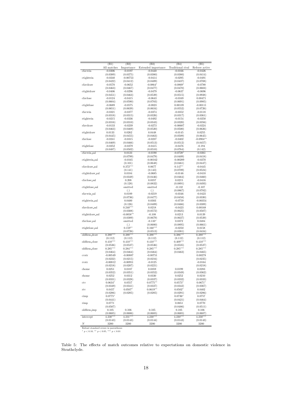<span id="page-19-0"></span>

|                | (B1)        | (B2)              | (B3)                | (B4)              | (B5)                  |
|----------------|-------------|-------------------|---------------------|-------------------|-----------------------|
|                | All matches | Importance        | Extended importance | Traditional rival | Referee active        |
| cfavwin        | $-0.0306$   | $-0.0197$         | $-0.0440$           | $-0.0166$         | $-0.0426$             |
|                | (0.0389)    | (0.0375)          | (0.0380)            | (0.0380)          | (0.0414)              |
| ctightwin      | $-0.0240$   | $-0.00753$        | $-0.0414$           | $-0.0295$         | $-0.0491$             |
|                | (0.0422)    | (0.0412)          | (0.0409)            | (0.0437)          | (0.0708)              |
| cfavdraw       | $-0.0570$   | $-0.0652$         | $-0.0864*$          | $-0.0869*$        | $-0.0788$             |
|                | (0.0463)    | (0.0467)          | (0.0477)            | (0.0470)          | (0.0603)              |
|                |             |                   |                     |                   |                       |
| ctightdraw     | $-0.0406$   | $-0.0296$         | $-0.0479$           | $-0.0637$         | $-0.0696$             |
|                | (0.0451)    | (0.0463)          | (0.0539)            | (0.0515)          | (0.0938)              |
| cfavlose       | $-0.0124$   | $-0.0415$         | $-0.0643$           | $-0.0169$         | 0.00471               |
|                | (0.0604)    | (0.0590)          | (0.0783)            | (0.0691)          | (0.0985)              |
| ctightlose     | $-0.0689$   | $-0.0575$         | $-0.0823$           | 0.00139           | $-0.00111$            |
|                | (0.0651)    | (0.0639)          | (0.0634)            | (0.0552)          | (0.0726)              |
| rfavwin        | $-0.0321$   | $-0.0377$         | $-0.0374$           | $-0.0352$         | $-0.0118$             |
|                | (0.0318)    | (0.0315)          | (0.0326)            | (0.0317)          | (0.0361)              |
|                |             |                   |                     |                   |                       |
| rtightwin      | $-0.0215$   | $-0.0336$         | $-0.0492$           | $-0.0154$         | $-0.0250$             |
|                | (0.0316)    | (0.0310)          | (0.0343)            | (0.0320)          | (0.0356)              |
| rfavdraw       | $-0.0133$   | $-0.0239$         | $-0.0273$           | $-0.00687$        | $-0.0224$             |
|                | (0.0463)    | (0.0469)          | (0.0520)            | (0.0500)          | (0.0626)              |
| rtightdraw     | 0.0133      | 0.0262            | 0.0448              | $-0.0145$         | 0.0255                |
|                | (0.0445)    | (0.0455)          | (0.0463)            | (0.0509)          | (0.0645)              |
| rfavlose       | $-0.0241$   | $-0.0315$         | $-0.0237$           | $-0.0402$         | $-0.0904**$           |
|                |             |                   |                     |                   |                       |
|                | (0.0469)    | (0.0466)          | (0.0513)            | (0.0512)          | (0.0457)              |
| rtightlose     | $-0.0252$   | -0.0379           | $-0.0415$           | $-0.0476$         | $-0.194$              |
|                | (0.0487)    | (0.0502)          | (0.0510)            | (0.0764)          | (0.142)               |
| cfavwin_sal    |             | 0.0123            | $-0.0190$           | $-0.0728*$        | $-0.0261$             |
|                |             | (0.0799)          | (0.0479)            | (0.0409)          | (0.0418)              |
| ctightwin_sal  |             | $-0.0165$         | $-0.00162$          | $-0.00289$        | $-0.0270$             |
|                |             | (0.101)           | (0.0648)            | (0.0461)          | (0.0447)              |
| cfavdraw_sal   |             |                   |                     |                   |                       |
|                |             | $0.372***$        | 0.0677              | $0.147***$        | $-0.0445$             |
|                |             | (0.141)           | (0.143)             | (0.0709)          | (0.0524)              |
| ctightdraw_sal |             | 0.0184            | $-0.0685$           | $-0.0146$         | $-0.0410$             |
|                |             | (0.0349)          | (0.0446)            | (0.0464)          | (0.0460)              |
| cfavlose_sal   |             | 0.208             | 0.0357              | 0.0215            | $-0.0416$             |
|                |             | (0.128)           | (0.0832)            | (0.0891)          | (0.0493)              |
| ctightlose_sal |             | omitted           | omitted             | $-0.132$          | $-0.107$              |
|                |             |                   |                     |                   |                       |
|                |             | $\left( .\right)$ | (.)                 | (0.0867)          | (0.0782)              |
| rfavwin_sal    |             | 0.0189            | $-0.0219$           | $-0.0346$         | $-0.0423$             |
|                |             | (0.0736)          | (0.0477)            | (0.0458)          | (0.0330)              |
| rtightwin_sal  |             | 0.0400            | 0.0303              | $-0.0759$         | $-0.00354$            |
|                |             | (0.126)           | (0.0409)            | (0.0466)          | (0.0389)              |
| rfavdraw_sal   |             | $0.240***$        | 0.0218              | $-0.0423$         | 0.00168               |
|                |             | (0.0308)          | (0.0572)            | (0.0625)          | (0.0507)              |
| rtightdraw_sal |             |                   |                     |                   |                       |
|                |             | $-0.0858**$       | $-0.108$            | 0.0213            | 0.0139                |
|                |             | (0.0389)          | (0.0679)            | (0.0637)          | (0.0539)              |
| rfavlose_sal   |             | omitted           | $-0.133*$           | 0.0372            | 0.0484                |
|                |             | $\left( .\right)$ | (0.0680)            | (0.0895)          | (0.0661)              |
| rtightlose_sal |             | $0.159**$         | $0.160***$          | $-0.0250$         | 0.0158                |
|                |             | (0.0726)          | (0.0513)            | (0.0381)          | (0.0434)              |
| oldfirm_draw   | $0.388***$  | $0.388***$        | $0.388***$          | $0.386***$        | $0.388***$            |
|                |             |                   |                     |                   |                       |
|                | (0.112)     | (0.112)           | (0.112)             | (0.112)           | (0.112)               |
| oldfirm_close  | $0.410***$  | $0.410***$        | $0.410***$          | $0.409***$        | $0.410***$            |
|                | (0.0536)    | (0.0537)          | (0.0536)            | (0.0535)          | (0.0537)              |
| oldfirm_rlose  | $0.285***$  | $0.284***$        | $0.285***$          | $0.285***$        | $0.285***$            |
|                | (0.0464)    | (0.0464)          | (0.0464)            | (0.0463)          | (0.0465)              |
| cvstr          | $-0.00549$  | $-0.00887$        | $-0.00751$          |                   | 0.00278               |
|                | (0.0222)    | (0.0215)          | (0.0216)            |                   | (0.0235)              |
| rvstr          | $-0.00812$  | $-0.00951$        | $-0.0125$           |                   | $-0.0164$             |
|                | (0.0218)    | (0.0207)          | (0.0221)            |                   | (0.0218)              |
|                |             |                   |                     |                   |                       |
| chome          | 0.0251      | 0.0187            | 0.0359              | 0.0199            | 0.0283                |
|                | (0.0352)    | (0.0351)          | (0.0352)            | (0.0349)          | (0.0362)              |
| rhome          | 0.0252      | 0.0312            | 0.0330              | 0.0252            | 0.0210                |
|                | (0.0331)    | (0.0328)          | (0.0337)            | (0.0332)          | (0.0333)              |
| ctv            | $0.0634*$   | 0.0557            | $0.0775**$          | $0.0573*$         | $0.0671*$             |
|                | (0.0349)    | (0.0341)          | (0.0337)            | (0.0342)          | (0.0367)              |
| rtv            | 0.0457      | $0.0507*$         | $0.0619**$          | $0.0502*$         | 0.0402                |
|                |             |                   |                     |                   |                       |
|                | (0.0286)    | (0.0285)          | (0.0285)            | (0.0291)          | (0.0286)              |
| cimp           | $0.0775*$   |                   |                     | $0.0736*$         | 0.0757                |
|                | (0.0441)    |                   |                     | (0.0421)          | (0.0464)              |
| rimp           | 0.0771      |                   |                     | 0.0651            | 0.0770                |
|                | (0.0507)    |                   |                     | (0.0486)          | (0.0511)              |
| oldfirm_imp    | 0.105       | 0.106             | 0.105               | 0.105             | 0.106                 |
|                | (0.0685)    | (0.0686)          | (0.0685)            | (0.0685)          | (0.0687)              |
| intercept      | $4.230***$  | $4.231***$        | $4.230***$          | $4.230***$        | $4.\overline{230***}$ |
|                |             |                   |                     |                   |                       |
|                | (0.0143)    | (0.0143)          | (0.0144)            | (0.0143)          | (0.0143)              |
| $\cal N$       | 3200        | 3200              | 3200                | 3200              | 3200                  |

Robust standard errors in parentheses<br>\*  $p < 0.10$ , \*\*  $p < 0.05$ , \*\*\*  $p < 0.01$ 

Table 5: The effects of match outcomes relative to expectations on domestic violence in Strathclyde.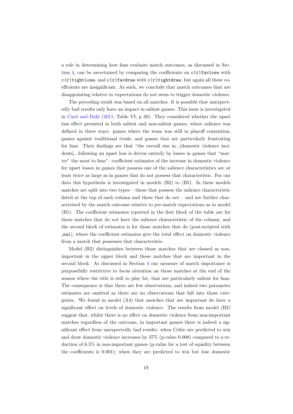a role in determining how fans evaluate match outcomes, as discussed in Sec-tion [4,](#page-10-0) can be ascertained by comparing the coefficients on  $c(r)$  favlose with  $c(r)$ tightlose, and  $c(r)$ favdraw with  $c(r)$ tightdraw, but again all these coefficients are insignificant. As such, we conclude that match outcomes that are disappointing relative to expectations do not seem to trigger domestic violence.

The preceding result was based on all matches. It is possible that unexpectedly bad results only have an impact in salient games. This issue is investigated in [Card and Dahl](#page-23-0) [\(2011,](#page-23-0) Table VI, p 30). They considered whether the upset loss effect persisted in both salient and non-salient games, where salience was defined in three ways: games where the team was still in playoff contention; games against traditional rivals; and games that are particularly frustrating for fans. Their findings are that "the overall rise in...[domestic violence incidents]...following an upset loss is driven entirely by losses in games that "matter" the most to fans": coefficient estimates of the increase in domestic violence for upset losses in games that possess one of the salience characteristics are at least twice as large as in games that do not possess that characteristic. For our data this hypothesis is investigated in models (B2) to (B5). In these models matches are split into two types – those that possess the salience characteristic listed at the top of each column and those that do not – and are further characterised by the match outcome relative to pre-match expectations as in model (B1). The coefficient estimates reported in the first block of the table are for those matches that *do not* have the salience characteristic of the column, and the second block of estimates is for those matches that do (post-scripted with sal), where the coefficient estimates give the *total* effect on domestic violence from a match that possesses that characteristic.

Model (B2) distinguishes between those matches that are classed as nonimportant in the upper block and those matches that are important in the second block. As discussed in Section [4](#page-10-0) our measure of match importance is purposefully restrictive to focus attention on those matches at the end of the season where the title is still to play for, that are particularly salient for fans. The consequence is that there are few observations, and indeed two parameter estimates are omitted as there are no observations that fall into those categories. We found in model (A4) that matches that are important do have a significant effect on levels of domestic violence. The results from model (B2) suggest that, whilst there is no effect on domestic violence from non-important matches regardless of the outcome, in important games there is indeed a significant effect from unexpectedly bad results: when Celtic are predicted to win and draw domestic violence increases by 37% (p-value 0.008) compared to a reduction of 6.5% in non-important games (p-value for a test of equality between the coefficients is 0.001); when they are predicted to win but lose domestic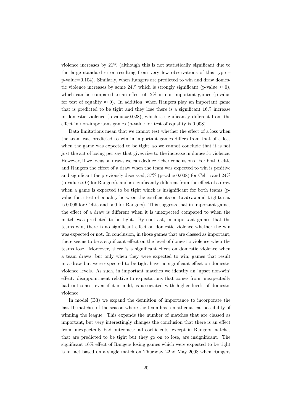violence increases by 21% (although this is not statistically significant due to the large standard error resulting from very few observations of this type – p-value=0.104). Similarly, when Rangers are predicted to win and draw domestic violence increases by some 24% which is strongly significant (p-value  $\approx 0$ ), which can be compared to an effect of  $-2\%$  in non-important games (p-value) for test of equality  $\approx 0$ ). In addition, when Rangers play an important game that is predicted to be tight and they lose there is a significant 16% increase in domestic violence (p-value= $0.028$ ), which is significantly different from the effect in non-important games (p-value for test of equality is 0.008).

Data limitations mean that we cannot test whether the effect of a loss when the team was predicted to win in important games differs from that of a loss when the game was expected to be tight, so we cannot conclude that it is not just the act of losing per say that gives rise to the increase in domestic violence. However, if we focus on draws we can deduce richer conclusions. For both Celtic and Rangers the effect of a draw when the team was expected to win is positive and significant (as previously discussed, 37% (p-value 0.008) for Celtic and 24%  $(p-value \approx 0)$  for Rangers), and is significantly different from the effect of a draw when a game is expected to be tight which is insignificant for both teams (pvalue for a test of equality between the coefficients on favdraw and tightdraw is 0.006 for Celtic and  $\approx$  0 for Rangers). This suggests that in important games the effect of a draw is different when it is unexpected compared to when the match was predicted to be tight. By contrast, in important games that the teams win, there is no significant effect on domestic violence whether the win was expected or not. In conclusion, in those games that are classed as important, there seems to be a significant effect on the level of domestic violence when the teams lose. Moreover, there is a significant effect on domestic violence when a team draws, but only when they were expected to win; games that result in a draw but were expected to be tight have no significant effect on domestic violence levels. As such, in important matches we identify an 'upset non-win' effect: disappointment relative to expectations that comes from unexpectedly bad outcomes, even if it is mild, is associated with higher levels of domestic violence.

In model (B3) we expand the definition of importance to incorporate the last 10 matches of the season where the team has a mathematical possibility of winning the league. This expands the number of matches that are classed as important, but very interestingly changes the conclusion that there is an effect from unexpectedly bad outcomes: all coefficients, except in Rangers matches that are predicted to be tight but they go on to lose, are insignificant. The significant 16% effect of Rangers losing games which were expected to be tight is in fact based on a single match on Thursday 22nd May 2008 when Rangers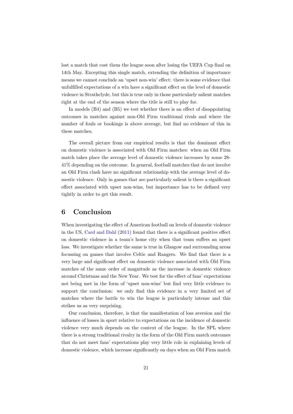lost a match that cost them the league soon after losing the UEFA Cup final on 14th May. Excepting this single match, extending the definition of importance means we cannot conclude an 'upset non-win' effect: there is some evidence that unfulfilled expectations of a win have a significant effect on the level of domestic violence in Strathclyde, but this is true only in those particularly salient matches right at the end of the season where the title is still to play for.

In models (B4) and (B5) we test whether there is an effect of disappointing outcomes in matches against non-Old Firm traditional rivals and where the number of fouls or bookings is above average, but find no evidence of this in these matches.

The overall picture from our empirical results is that the dominant effect on domestic violence is associated with Old Firm matches: when an Old Firm match takes place the average level of domestic violence increases by some 28- 41% depending on the outcome. In general, football matches that do not involve an Old Firm clash have no significant relationship with the average level of domestic violence. Only in games that are particularly salient is there a significant effect associated with upset non-wins, but importance has to be defined very tightly in order to get this result.

## 6 Conclusion

When investigating the effect of American football on levels of domestic violence in the US, [Card and Dahl](#page-23-0) [\(2011\)](#page-23-0) found that there is a significant positive effect on domestic violence in a team's home city when that team suffers an upset loss. We investigate whether the same is true in Glasgow and surrounding areas focussing on games that involve Celtic and Rangers. We find that there is a very large and significant effect on domestic violence associated with Old Firm matches of the same order of magnitude as the increase in domestic violence around Christmas and the New Year. We test for the effect of fans' expectations not being met in the form of 'upset non-wins' but find very little evidence to support the conclusion: we only find this evidence in a very limited set of matches where the battle to win the league is particularly intense and this strikes us as very surprising.

Our conclusion, therefore, is that the manifestation of loss aversion and the influence of losses in sport relative to expectations on the incidence of domestic violence very much depends on the context of the league. In the SPL where there is a strong traditional rivalry in the form of the Old Firm match outcomes that do not meet fans' expectations play very little role in explaining levels of domestic violence, which increase significantly on days when an Old Firm match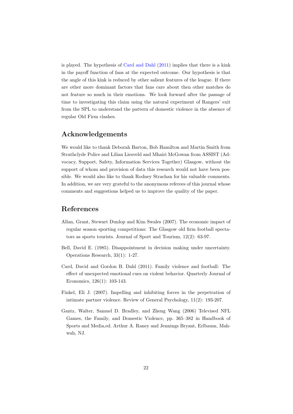is played. The hypothesis of [Card and Dahl](#page-23-0) [\(2011\)](#page-23-0) implies that there is a kink in the payoff function of fans at the expected outcome. Our hypothesis is that the angle of this kink is reduced by other salient features of the league. If there are other more dominant factors that fans care about then other matches do not feature so much in their emotions. We look forward after the passage of time to investigating this claim using the natural experiment of Rangers' exit from the SPL to understand the pattern of domestic violence in the absence of regular Old Firm clashes.

## Acknowledgements

We would like to thank Deborah Barton, Bob Hamilton and Martin Smith from Strathclyde Police and Lilian Liesveld and Mhairi McGowan from ASSIST (Advocacy, Support, Safety, Information Services Together) Glasgow, without the support of whom and provision of data this research would not have been possible. We would also like to thank Rodney Strachan for his valuable comments. In addition, we are very grateful to the anonymous referees of this journal whose comments and suggestions helped us to improve the quality of the paper.

## References

- <span id="page-23-3"></span>Allan, Grant, Stewart Dunlop and Kim Swales (2007). The economic impact of regular season sporting competitions: The Glasgow old firm football spectators as sports tourists. Journal of Sport and Tourism, 12(2): 63-97.
- <span id="page-23-4"></span>Bell, David E. (1985). Disappointment in decision making under uncertainty. Operations Research, 33(1): 1-27.
- <span id="page-23-0"></span>Card, David and Gordon B. Dahl (2011). Family violence and football: The effect of unexpected emotional cues on violent behavior. Quarterly Journal of Economics, 126(1): 103-143.
- <span id="page-23-1"></span>Finkel, Eli J. (2007). Impelling and inhibiting forces in the perpetration of intimate partner violence. Review of General Psychology, 11(2): 193-207.
- <span id="page-23-2"></span>Gantz, Walter, Samuel D. Bradley, and Zheng Wang (2006) Televised NFL Games, the Family, and Domestic Violence, pp. 365–382 in Handbook of Sports and Media,ed. Arthur A. Raney and Jennings Bryant, Erlbaum, Mahwah, NJ.